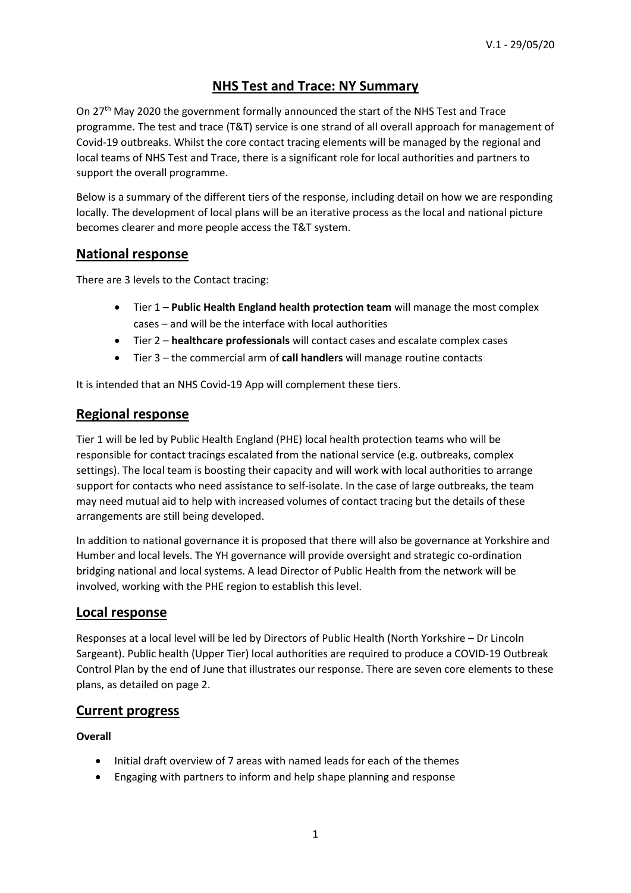# **NHS Test and Trace: NY Summary**

On 27th May 2020 the government formally announced the start of the NHS Test and Trace programme. The test and trace (T&T) service is one strand of all overall approach for management of Covid-19 outbreaks. Whilst the core contact tracing elements will be managed by the regional and local teams of NHS Test and Trace, there is a significant role for local authorities and partners to support the overall programme.

Below is a summary of the different tiers of the response, including detail on how we are responding locally. The development of local plans will be an iterative process as the local and national picture becomes clearer and more people access the T&T system.

# **National response**

There are 3 levels to the Contact tracing:

- Tier 1 **Public Health England health protection team** will manage the most complex cases – and will be the interface with local authorities
- Tier 2 **healthcare professionals** will contact cases and escalate complex cases
- Tier 3 the commercial arm of **call handlers** will manage routine contacts

It is intended that an NHS Covid-19 App will complement these tiers.

# **Regional response**

Tier 1 will be led by Public Health England (PHE) local health protection teams who will be responsible for contact tracings escalated from the national service (e.g. outbreaks, complex settings). The local team is boosting their capacity and will work with local authorities to arrange support for contacts who need assistance to self-isolate. In the case of large outbreaks, the team may need mutual aid to help with increased volumes of contact tracing but the details of these arrangements are still being developed.

In addition to national governance it is proposed that there will also be governance at Yorkshire and Humber and local levels. The YH governance will provide oversight and strategic co-ordination bridging national and local systems. A lead Director of Public Health from the network will be involved, working with the PHE region to establish this level.

# **Local response**

Responses at a local level will be led by Directors of Public Health (North Yorkshire – Dr Lincoln Sargeant). Public health (Upper Tier) local authorities are required to produce a COVID-19 Outbreak Control Plan by the end of June that illustrates our response. There are seven core elements to these plans, as detailed on page 2.

## **Current progress**

## **Overall**

- Initial draft overview of 7 areas with named leads for each of the themes
- Engaging with partners to inform and help shape planning and response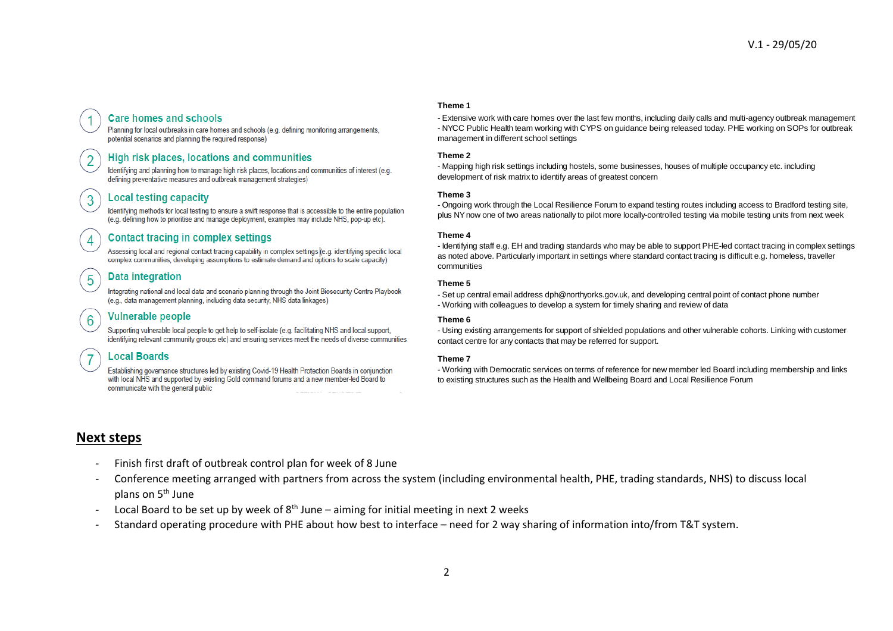## **Care homes and schools**

Planning for local outbreaks in care homes and schools (e.g. defining monitoring arrangements, potential scenarios and planning the required response)

### High risk places, locations and communities

Identifying and planning how to manage high risk places, locations and communities of interest (e.g. defining preventative measures and outbreak management strategies)

### **Local testing capacity**

 $\overline{2}$ 

3

 $\overline{4}$ 

5

6

Identifying methods for local testing to ensure a swift response that is accessible to the entire population (e.g. defining how to prioritise and manage deployment, examples may include NHS, pop-up etc).

## **Contact tracing in complex settings**

Assessing local and regional contact tracing capability in complex settings (e.g. identifying specific local complex communities, developing assumptions to estimate demand and options to scale capacity)

## **Data integration**

Integrating national and local data and scenario planning through the Joint Biosecurity Centre Playbook (e.g., data management planning, including data security, NHS data linkages)

### **Vulnerable people**

Supporting vulnerable local people to get help to self-isolate (e.g. facilitating NHS and local support, identifying relevant community groups etc) and ensuring services meet the needs of diverse communities

## **Local Boards**

Establishing governance structures led by existing Covid-19 Health Protection Boards in conjunction with local NHS and supported by existing Gold command forums and a new member-led Board to communicate with the general public

#### **Theme 1**

- Extensive work with care homes over the last few months, including daily calls and multi-agency outbreak management - NYCC Public Health team working with CYPS on guidance being released today. PHE working on SOPs for outbreak management in different school settings

#### **Theme 2**

- Mapping high risk settings including hostels, some businesses, houses of multiple occupancy etc. including development of risk matrix to identify areas of greatest concern

#### **Theme 3**

- Ongoing work through the Local Resilience Forum to expand testing routes including access to Bradford testing site, plus NY now one of two areas nationally to pilot more locally-controlled testing via mobile testing units from next week

#### **Theme 4**

- Identifying staff e.g. EH and trading standards who may be able to support PHE-led contact tracing in complex settings as noted above. Particularly important in settings where standard contact tracing is difficult e.g. homeless, traveller communities

#### **Theme 5**

- Set up central email address dph@northyorks.gov.uk, and developing central point of contact phone number - Working with colleagues to develop a system for timely sharing and review of data

#### **Theme 6**

- Using existing arrangements for support of shielded populations and other vulnerable cohorts. Linking with customer contact centre for any contacts that may be referred for support.

#### **Theme 7**

- Working with Democratic services on terms of reference for new member led Board including membership and links to existing structures such as the Health and Wellbeing Board and Local Resilience Forum

## **Next steps**

- Finish first draft of outbreak control plan for week of 8 June
- Conference meeting arranged with partners from across the system (including environmental health, PHE, trading standards, NHS) to discuss local plans on 5<sup>th</sup> June
- Local Board to be set up by week of  $8<sup>th</sup>$  June aiming for initial meeting in next 2 weeks
- Standard operating procedure with PHE about how best to interface need for 2 way sharing of information into/from T&T system.